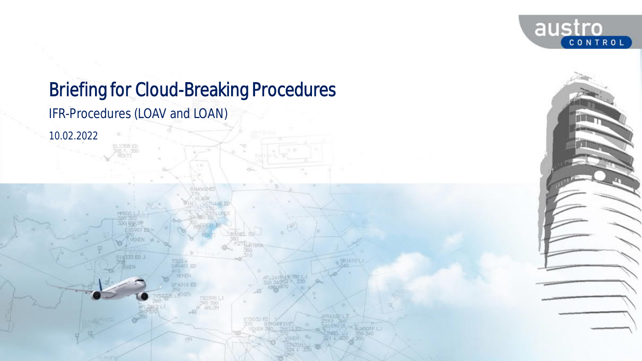

# Briefing for Cloud-Breaking Procedures IFR-Procedures (LOAV and LOAN)

3A4662-ED

ORVAO1 ED

GFAD18 ED

SB1610 L

*10.02.2022*

**STA333 ED J**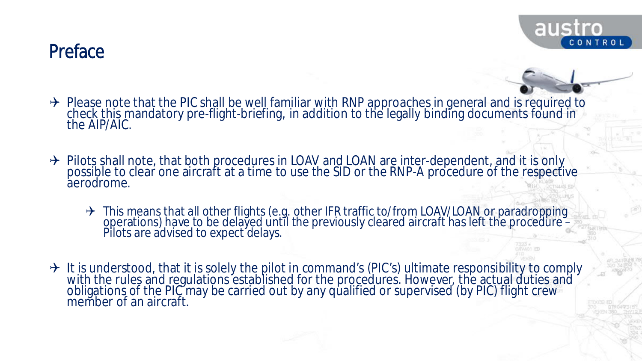#### **Preface**



- → Please note that the PIC shall be well familiar with RNP approaches in general and is required to check this mandatory pre-flight-briefing, in addition to the legally binding documents found in the AIP/AIC.
- → Pilots shall note, that both procedures in LOAV and LOAN are inter-dependent, and it is only possible to clear one aircraft at a time to use the SID or the RNP-A procedure of the respective aerodrome.
	- → This means that all other flights (e.g. other IFR traffic to/from LOAV/LOAN or paradropping operations) have to be delayed until the previously cleared aircraft has left the procedure – Pilots are advised to expect delays.
- → It is understood, that it is solely the pilot in command's (PIC's) ultimate responsibility to comply with the rules and regulations established for the procedures. However, the actual duties and obligations of the PIC may be carried out by any qualified or supervised (by PIC) flight crew member of an aircraft.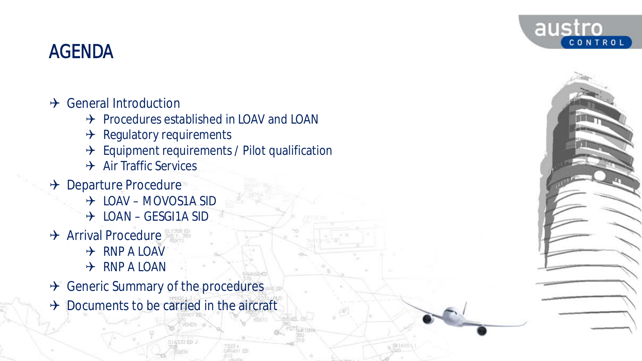#### austro CONTROL

# AGENDA

- $\rightarrow$  General Introduction
	- $\rightarrow$  Procedures established in LOAV and LOAN
	- $\rightarrow$  Regulatory requirements
	- $\rightarrow$  Equipment requirements / Pilot qualification
	- $\rightarrow$  Air Traffic Services
- → Departure Procedure
	- LOAV MOVOS1A SID
	- $\rightarrow$  LOAN GESGI1A SID
- $\rightarrow$  Arrival Procedure
	- $\rightarrow$  RNP A LOAV
	- $\rightarrow$  RNP A LOAN
- $\rightarrow$  Generic Summary of the procedures
- $\rightarrow$  Documents to be carried in the aircraft

**STATES ED.**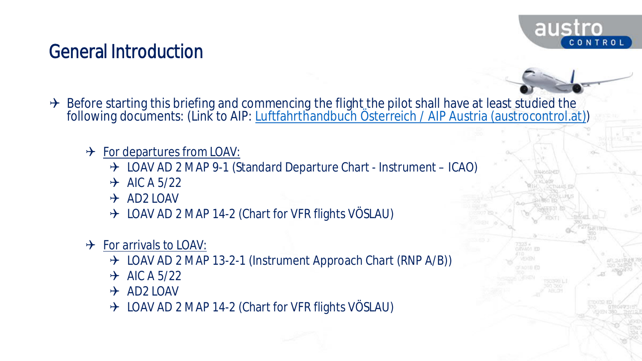

# General Introduction

- $\rightarrow$  Before starting this briefing and commencing the flight the pilot shall have at least studied the following documents: (Link to AIP: <u>Luftfahrthandbuch Österreich / AIP Austria (austrocontrol.at)</u>)
	- $\rightarrow$  For departures from LOAV:
		- → LOAV AD 2 MAP 9-1 (Standard Departure Chart Instrument ICAO)
		- $\rightarrow$  AIC A 5/22
		- $\rightarrow$  AD2 LOAV
		- $\rightarrow$  LOAV AD 2 MAP 14-2 (Chart for VFR flights VÖSLAU)
	- $\rightarrow$  For arrivals to LOAV:
		- $\rightarrow$  LOAV AD 2 MAP 13-2-1 (Instrument Approach Chart (RNP A/B))
		- $\rightarrow$  AIC A 5/22
		- $\rightarrow$  AD2 LOAV
		- → LOAV AD 2 MAP 14-2 (Chart for VFR flights VÖSLAU)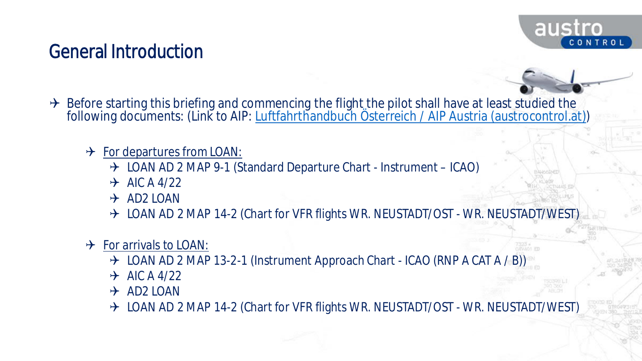

**WANT PE** 

# General Introduction

- $\rightarrow$  Before starting this briefing and commencing the flight the pilot shall have at least studied the following documents: (Link to AIP: <u>Luftfahrthandbuch Österreich / AIP Austria (austrocontrol.at)</u>)
	- $\rightarrow$  For departures from LOAN:
		- → LOAN AD 2 MAP 9-1 (Standard Departure Chart Instrument ICAO)
		- $\rightarrow$  AIC A 4/22
		- $\rightarrow$  AD2 LOAN
		- → LOAN AD 2 MAP 14-2 (Chart for VFR flights WR. NEUSTADT/OST WR. NEUSTADT/WEST)
	- $\rightarrow$  For arrivals to LOAN:
		- $\rightarrow$  LOAN AD 2 MAP 13-2-1 (Instrument Approach Chart ICAO (RNP A CAT A / B))
		- $\rightarrow$  AIC A 4/22
		- $\rightarrow$  AD2 LOAN
		- → LOAN AD 2 MAP 14-2 (Chart for VFR flights WR. NEUSTADT/OST WR. NEUSTADT/WEST)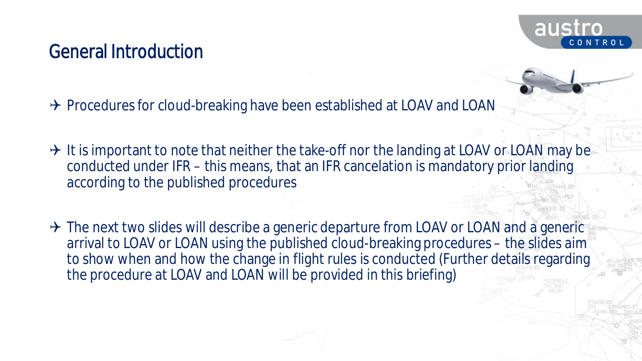

#### General Introduction

 $\rightarrow$  Procedures for cloud-breaking have been established at LOAV and LOAN

- $\rightarrow$  It is important to note that neither the take-off nor the landing at LOAV or LOAN may be conducted under IFR – this means, that an IFR cancelation is mandatory prior landing according to the published procedures
- $\rightarrow$  The next two slides will describe a generic departure from LOAV or LOAN and a generic arrival to LOAV or LOAN using the published cloud-breaking procedures – the slides aim to show when and how the change in flight rules is conducted (Further details regarding the procedure at LOAV and LOAN will be provided in this briefing)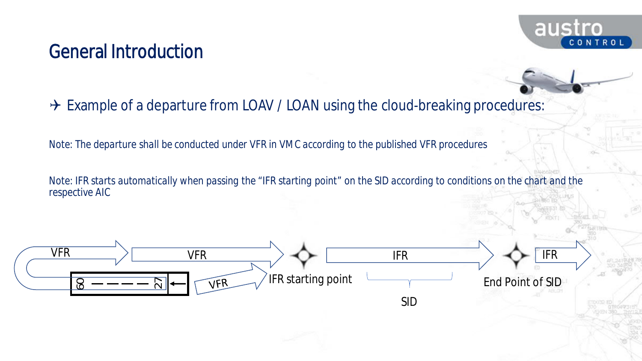#### aust NTROL

#### General Introduction

#### $\rightarrow$  Example of a departure from LOAV / LOAN using the cloud-breaking procedures:

*Note: The departure shall be conducted under VFR in VMC according to the published VFR procedures*

*Note: IFR starts automatically when passing the "IFR starting point" on the SID according to conditions on the chart and the respective AIC*

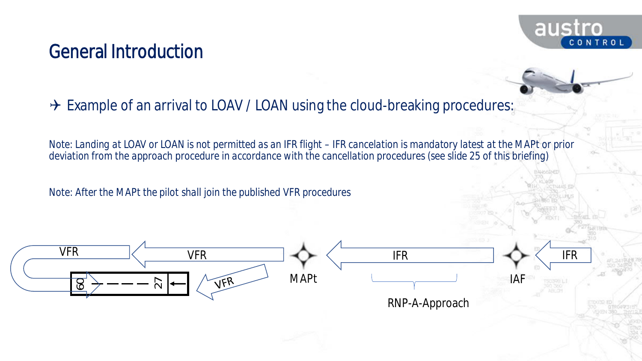#### General Introduction



*Note: Landing at LOAV or LOAN is not permitted as an IFR flight – IFR cancelation is mandatory latest at the MAPt or prior deviation from the approach procedure in accordance with the cancellation procedures (see slide 25 of this briefing)*

aust

CONTROL

*Note: After the MAPt the pilot shall join the published VFR procedures*

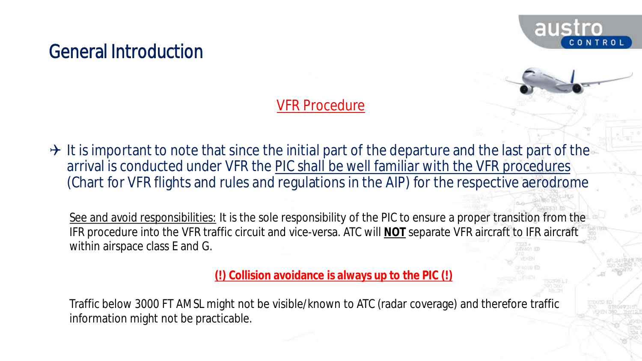

#### General Introduction

#### VFR Procedure

 $\rightarrow$  It is important to note that since the initial part of the departure and the last part of the arrival is conducted under VFR the PIC shall be well familiar with the VFR procedures (Chart for VFR flights and rules and regulations in the AIP) for the respective aerodrome

See and avoid responsibilities: It is the sole responsibility of the PIC to ensure a proper transition from the IFR procedure into the VFR traffic circuit and vice-versa. ATC will **NOT** separate VFR aircraft to IFR aircraft within airspace class E and G.

**(!) Collision avoidance is always up to the PIC (!)**

Traffic below 3000 FT AMSL might not be visible/known to ATC (radar coverage) and therefore traffic information might not be practicable.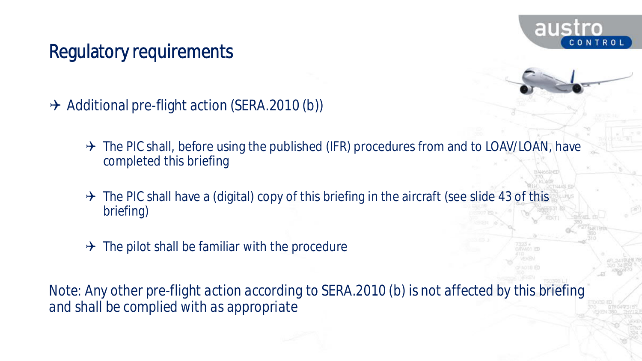

# Regulatory requirements

- $\rightarrow$  Additional pre-flight action (SERA.2010 (b))
	- $\rightarrow$  The PIC shall, before using the published (IFR) procedures from and to LOAV/LOAN, have completed this briefing
	- $\rightarrow$  The PIC shall have a (digital) copy of this briefing in the aircraft (see slide 43 of this briefing)
	- $\rightarrow$  The pilot shall be familiar with the procedure

*Note: Any other pre-flight action according to SERA.2010 (b) is not affected by this briefing and shall be complied with as appropriate*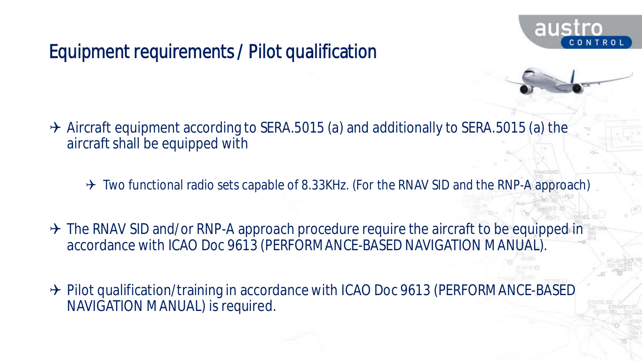

# Equipment requirements / Pilot qualification

- $\rightarrow$  Aircraft equipment according to SERA.5015 (a) and additionally to SERA.5015 (a) the aircraft shall be equipped with
	- $\rightarrow$  Two functional radio sets capable of 8.33KHz. (For the RNAV SID and the RNP-A approach)
- $\rightarrow$  The RNAV SID and/or RNP-A approach procedure require the aircraft to be equipped in accordance with ICAO Doc 9613 (PERFORMANCE-BASED NAVIGATION MANUAL).
- → Pilot qualification/training in accordance with ICAO Doc 9613 (PERFORMANCE-BASED NAVIGATION MANUAL) is required.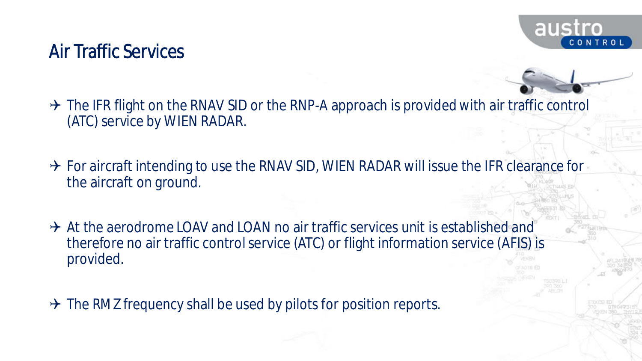

#### Air Traffic Services

- $\rightarrow$  The IFR flight on the RNAV SID or the RNP-A approach is provided with air traffic control (ATC) service by WIEN RADAR.
- $\rightarrow$  For aircraft intending to use the RNAV SID, WIEN RADAR will issue the IFR clearance for the aircraft on ground.
- $\rightarrow$  At the aerodrome LOAV and LOAN no air traffic services unit is established and therefore no air traffic control service (ATC) or flight information service (AFIS) is provided.
- $\rightarrow$  The RMZ frequency shall be used by pilots for position reports.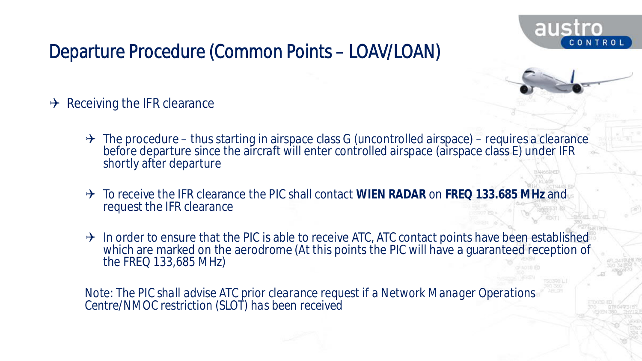



- $\rightarrow$  Receiving the IFR clearance
	- $\rightarrow$  The procedure thus starting in airspace class G (uncontrolled airspace) requires a clearance before departure since the aircraft will enter controlled airspace (airspace class E) under IFR shortly after departure
	- To receive the IFR clearance the PIC shall contact **WIEN RADAR** on **FREQ 133.685 MHz** and request the IFR clearance
	- $\rightarrow$  In order to ensure that the PIC is able to receive ATC, ATC contact points have been established which are marked on the aerodrome (At this points the PIC will have a guaranteed reception of the FREQ 133,685 MHz)

*Note: The PIC shall advise ATC prior clearance request if a Network Manager Operations Centre/NMOC restriction (SLOT) has been received*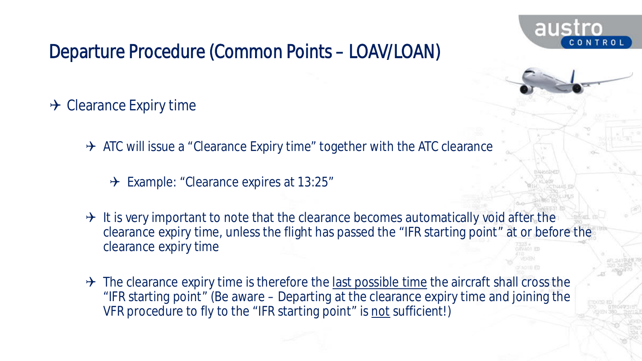

- $\rightarrow$  Clearance Expiry time
	- $\rightarrow$  ATC will issue a "Clearance Expiry time" together with the ATC clearance
		- $\rightarrow$  Example: "Clearance expires at 13:25"
	- $\rightarrow$  It is very important to note that the clearance becomes automatically void after the clearance expiry time, unless the flight has passed the "IFR starting point" at or before the clearance expiry time
	- $\rightarrow$  The clearance expiry time is therefore the last possible time the aircraft shall cross the "IFR starting point" (Be aware – Departing at the clearance expiry time and joining the VFR procedure to fly to the "IFR starting point" is not sufficient!)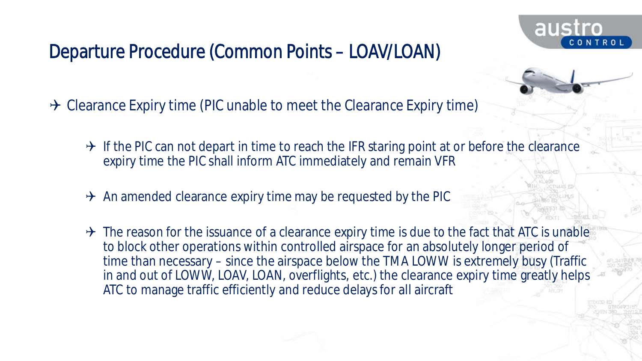$\rightarrow$  Clearance Expiry time (PIC unable to meet the Clearance Expiry time)

- $\rightarrow$  If the PIC can not depart in time to reach the IFR staring point at or before the clearance expiry time the PIC shall inform ATC immediately and remain VFR
- $\rightarrow$  An amended clearance expiry time may be requested by the PIC
- $\rightarrow$  The reason for the issuance of a clearance expiry time is due to the fact that ATC is unable to block other operations within controlled airspace for an absolutely longer period of time than necessary – since the airspace below the TMA LOWW is extremely busy (Traffic in and out of LOWW, LOAV, LOAN, overflights, etc.) the clearance expiry time greatly helps ATC to manage traffic efficiently and reduce delays for all aircraft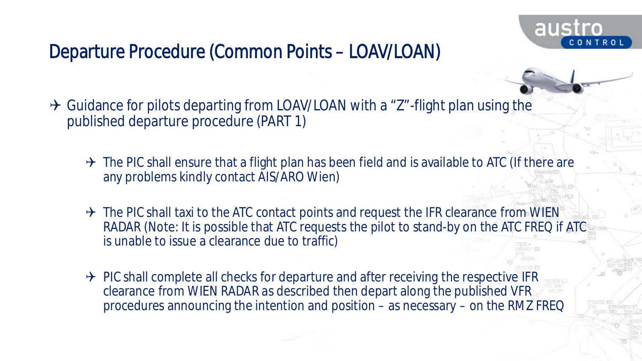

 $\rightarrow$  Guidance for pilots departing from LOAV/LOAN with a "Z"-flight plan using the published departure procedure (PART 1)

- $\rightarrow$  The PIC shall ensure that a flight plan has been field and is available to ATC (If there are any problems kindly contact AIS/ARO Wien)
- $\rightarrow$  The PIC shall taxi to the ATC contact points and request the IFR clearance from WIEN RADAR (Note: It is possible that ATC requests the pilot to stand-by on the ATC FREQ if ATC is unable to issue a clearance due to traffic)
- $\rightarrow$  PIC shall complete all checks for departure and after receiving the respective IFR clearance from WIEN RADAR as described then depart along the published VFR procedures announcing the intention and position – as necessary – on the RMZ FREQ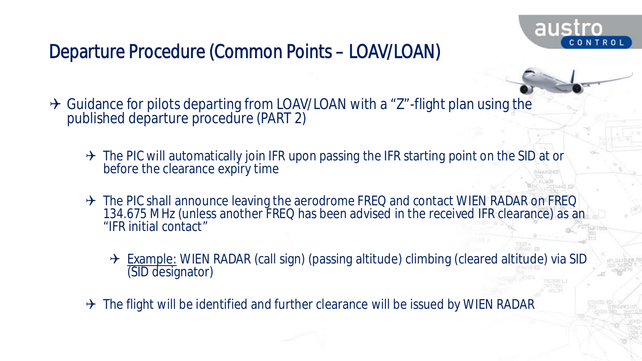

- → Guidance for pilots departing from LOAV/LOAN with a "Z"-flight plan using the published departure procedure (PART 2)
	- $\rightarrow$  The PIC will automatically join IFR upon passing the IFR starting point on the SID at or before the clearance expiry time
	- → The PIC shall announce leaving the aerodrome FREQ and contact WIEN RADAR on FREQ 134.675 MHz (unless another FREQ has been advised in the received IFR clearance) as an "IFR initial contact"
		- → Example: WIEN RADAR (call sign) (passing altitude) climbing (cleared altitude) via SID (SID designator)
	- $\rightarrow$  The flight will be identified and further clearance will be issued by WIEN RADAR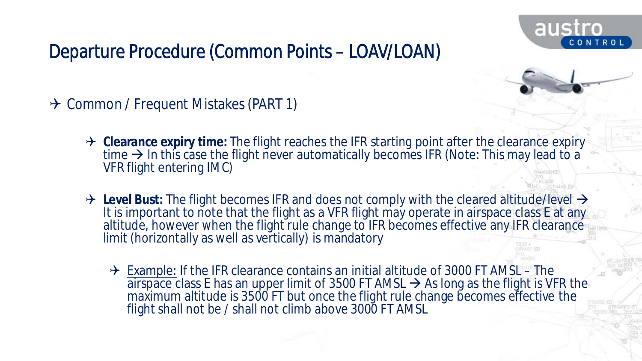

→ Common / Frequent Mistakes (PART 1)

- → Clearance expiry time: The flight reaches the IFR starting point after the clearance expiry time  $\rightarrow$  In this case the flight never automatically becomes IFR (Note: This may lead to a VFR flight entering IMC)
- → Level Bust: The flight becomes IFR and does not comply with the cleared altitude/level → It is important to note that the flight as a VFR flight may operate in airspace class E at any altitude, however when the flight rule change to IFR becomes effective any IFR clearance limit (horizontally as well as vertically) is mandatory
	- $\rightarrow$  Example: If the IFR clearance contains an initial altitude of 3000 FT AMSL The airspace class E has an upper limit of 3500 FT AMSL  $\rightarrow$  As long as the flight is VFR the maximum altitude is 3500 FT but once the flight rule change becomes effective the flight shall not be / shall not climb above 3000 FT AMSL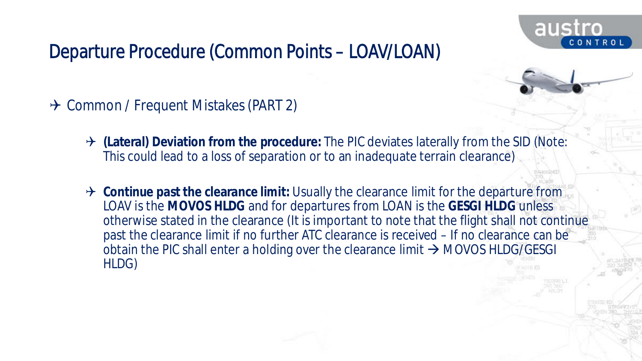

- → Common / Frequent Mistakes (PART 2)
	- **(Lateral) Deviation from the procedure:** The PIC deviates laterally from the SID (Note: This could lead to a loss of separation or to an inadequate terrain clearance)
	- → Continue past the clearance limit: Usually the clearance limit for the departure from LOAV is the **MOVOS HLDG** and for departures from LOAN is the **GESGI HLDG** unless otherwise stated in the clearance (It is important to note that the flight shall not continue past the clearance limit if no further ATC clearance is received – If no clearance can be obtain the PIC shall enter a holding over the clearance limit  $\rightarrow$  MOVOS HLDG/GESGI HLDG)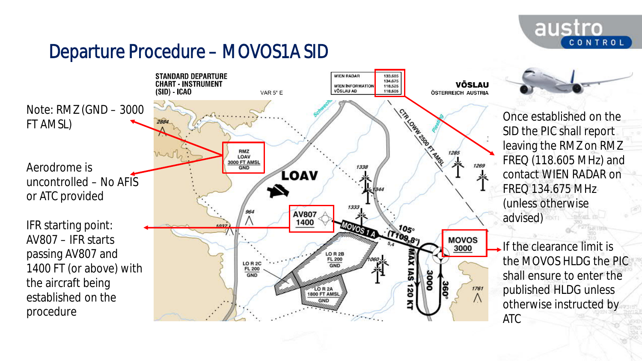

# Departure Procedure – MOVOS1A SID

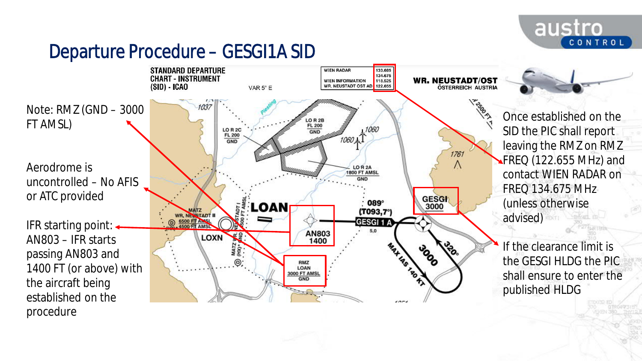

# Departure Procedure – GESGI1A SID

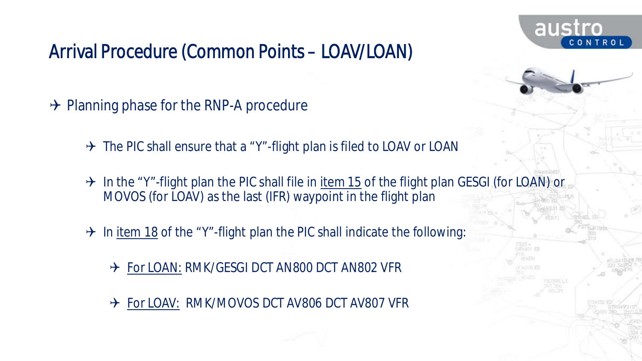

- $\rightarrow$  Planning phase for the RNP-A procedure
	- $\rightarrow$  The PIC shall ensure that a "Y"-flight plan is filed to LOAV or LOAN
	- $\rightarrow$  In the "Y"-flight plan the PIC shall file in item 15 of the flight plan GESGI (for LOAN) or MOVOS (for LOAV) as the last (IFR) waypoint in the flight plan
	- $\rightarrow$  In item 18 of the "Y"-flight plan the PIC shall indicate the following:
		- → For LOAN: RMK/GESGI DCT AN800 DCT AN802 VFR
		- → For LOAV: RMK/MOVOS DCT AV806 DCT AV807 VFR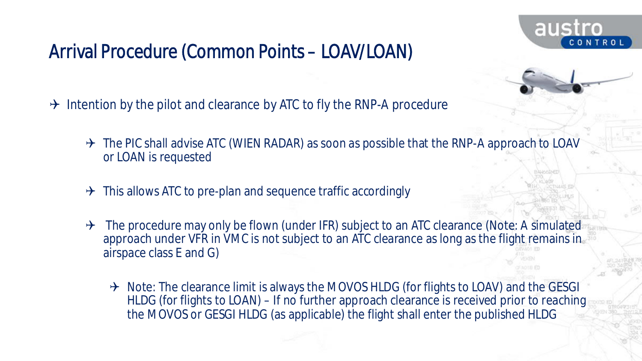

- $\rightarrow$  Intention by the pilot and clearance by ATC to fly the RNP-A procedure
	- $\rightarrow$  The PIC shall advise ATC (WIEN RADAR) as soon as possible that the RNP-A approach to LOAV or LOAN is requested
	- $\rightarrow$  This allows ATC to pre-plan and sequence traffic accordingly
	- $\rightarrow$  The procedure may only be flown (under IFR) subject to an ATC clearance (Note: A simulated approach under VFR in VMC is not subject to an ATC clearance as long as the flight remains in airspace class E and G)
		- $\rightarrow$  Note: The clearance limit is always the MOVOS HLDG (for flights to LOAV) and the GESGI HLDG (for flights to LOAN) – If no further approach clearance is received prior to reaching the MOVOS or GESGI HLDG (as applicable) the flight shall enter the published HLDG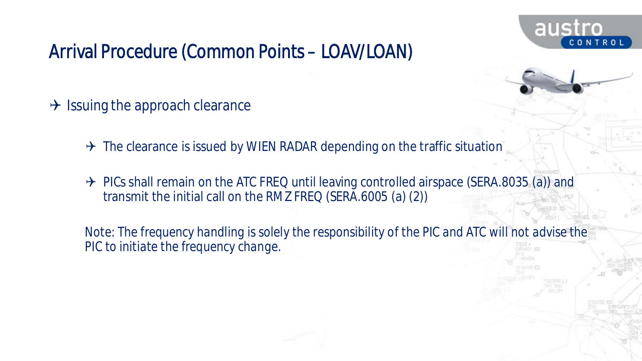

- $\rightarrow$  Issuing the approach clearance
	- $\rightarrow$  The clearance is issued by WIEN RADAR depending on the traffic situation
	- $\rightarrow$  PICs shall remain on the ATC FREQ until leaving controlled airspace (SERA.8035 (a)) and transmit the initial call on the RMZ FREQ (SERA.6005 (a) (2))

*Note: The frequency handling is solely the responsibility of the PIC and ATC will not advise the PIC to initiate the frequency change.*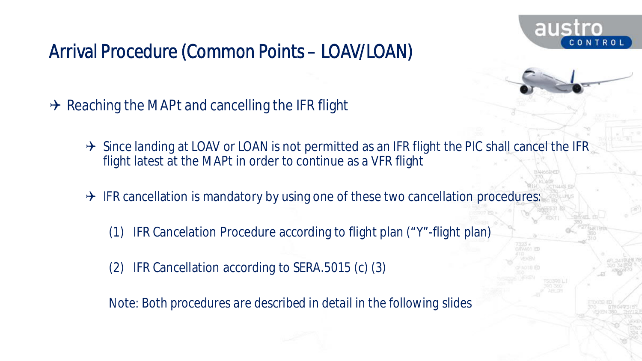

 $\rightarrow$  Reaching the MAPt and cancelling the IFR flight

- $\rightarrow$  Since landing at LOAV or LOAN is not permitted as an IFR flight the PIC shall cancel the IFR flight latest at the MAPt in order to continue as a VFR flight
- $\rightarrow$  IFR cancellation is mandatory by using one of these two cancellation procedures:
	- (1) IFR Cancelation Procedure according to flight plan ("Y"-flight plan)
	- (2) IFR Cancellation according to SERA.5015 (c) (3)

*Note: Both procedures are described in detail in the following slides*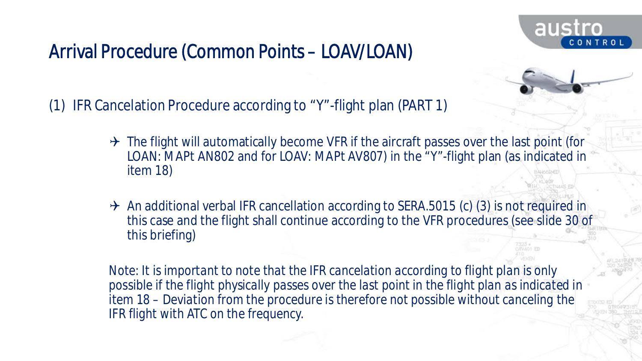

(1) IFR Cancelation Procedure according to "Y"-flight plan (PART 1)

- $\rightarrow$  The flight will automatically become VFR if the aircraft passes over the last point (for LOAN: MAPt AN802 and for LOAV: MAPt AV807) in the "Y"-flight plan (as indicated in item 18)
- $\rightarrow$  An additional verbal IFR cancellation according to SERA.5015 (c) (3) is not required in this case and the flight shall continue according to the VFR procedures (see slide 30 of this briefing)

*Note: It is important to note that the IFR cancelation according to flight plan is only possible if the flight physically passes over the last point in the flight plan as indicated in item 18 – Deviation from the procedure is therefore not possible without canceling the IFR flight with ATC on the frequency.*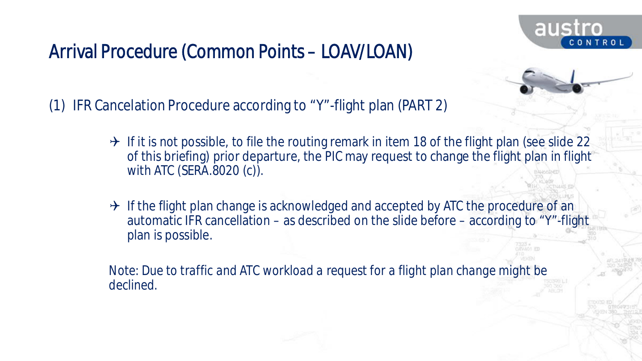

(1) IFR Cancelation Procedure according to "Y"-flight plan (PART 2)

- $\rightarrow$  If it is not possible, to file the routing remark in item 18 of the flight plan (see slide 22 of this briefing) prior departure, the PIC may request to change the flight plan in flight with ATC (SERA.8020 (c)).
- $\rightarrow$  If the flight plan change is acknowledged and accepted by ATC the procedure of an automatic IFR cancellation – as described on the slide before – according to "Y"-flight plan is possible.

*Note: Due to traffic and ATC workload a request for a flight plan change might be declined.*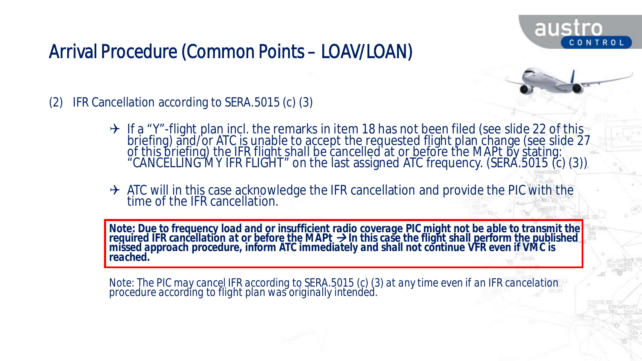

- (2) IFR Cancellation according to SERA.5015 (c) (3)
	- $\rightarrow$  If a "Y"-flight plan incl. the remarks in item 18 has not been filed (see slide 22 of this briefing) and/or ATC is unable to accept the requested flight plan change (see slide 27 of this briefing) the IFR flight shall be cancelled at or before the MAPt by stating: "CANCELLING MY IFR FLIGHT" on the last assigned ATC frequency. (SERA.5015 (c) (3))
	- → ATC will in this case acknowledge the IFR cancellation and provide the PIC with the time of the IFR cancellation.

*Note: Due to frequency load and or insufficient radio coverage PIC might not be able to transmit the required IFR cancellation at or before the MAPt In this case the flight shall perform the published missed approach procedure, inform ATC immediately and shall not continue VFR even if VMC is reached.*

*Note: The PIC may cancel IFR according to SERA.5015 (c) (3) at any time even if an IFR cancelation procedure according to flight plan was originally intended.*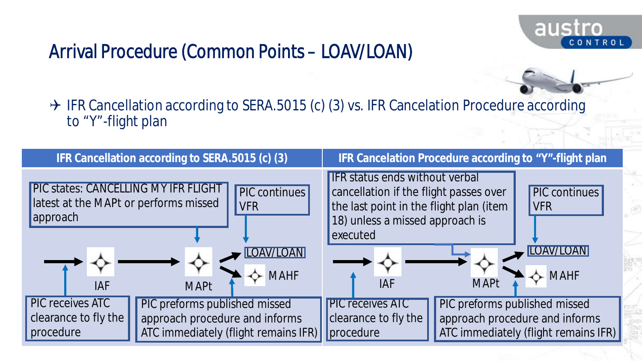

austro

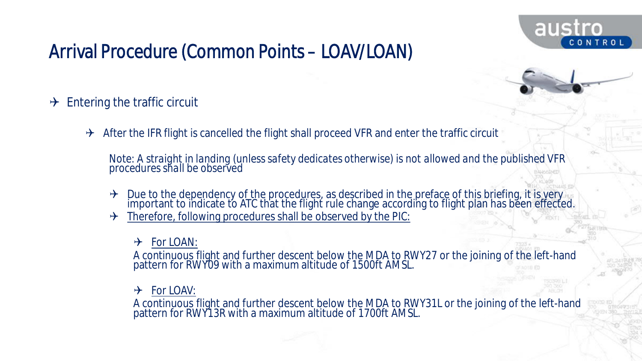

- $\rightarrow$  Entering the traffic circuit
	- $\rightarrow$  After the IFR flight is cancelled the flight shall proceed VFR and enter the traffic circuit

*Note: A straight in landing (unless safety dedicates otherwise) is not allowed and the published VFR procedures shall be observed*

- $\rightarrow$  Due to the dependency of the procedures, as described in the preface of this briefing, it is very important to indicate to ATC that the flight rule change according to flight plan has been effected.
- Therefore, following procedures shall be observed by the PIC:
	- $\rightarrow$  For LOAN:

A continuous flight and further descent below the MDA to RWY27 or the joining of the left-hand pattern for RWY09 with a maximum altitude of 1500ft AMSL.

 $\rightarrow$  For LOAV:

A continuous flight and further descent below the MDA to RWY31L or the joining of the left-hand pattern for RWY13R with a maximum altitude of 1700ft AMSL.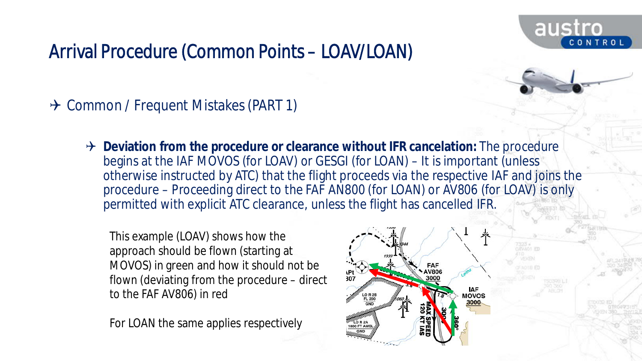

 $\rightarrow$  Common / Frequent Mistakes (PART 1)

**→** Deviation from the procedure or clearance without IFR cancelation: The procedure begins at the IAF MOVOS (for LOAV) or GESGI (for LOAN) – It is important (unless otherwise instructed by ATC) that the flight proceeds via the respective IAF and joins the procedure – Proceeding direct to the FAF AN800 (for LOAN) or AV806 (for LOAV) is only permitted with explicit ATC clearance, unless the flight has cancelled IFR.

This example (LOAV) shows how the approach should be flown (starting at MOVOS) in green and how it should not be flown (deviating from the procedure – direct to the FAF AV806) in red

For LOAN the same applies respectively

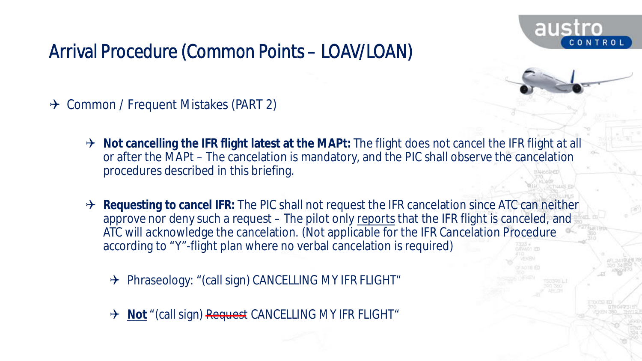

- $\rightarrow$  Common / Frequent Mistakes (PART 2)
	- → Not cancelling the IFR flight latest at the MAPt: The flight does not cancel the IFR flight at all or after the MAPt – The cancelation is mandatory, and the PIC shall observe the cancelation procedures described in this briefing.
	- $\rightarrow$  Requesting to cancel IFR: The PIC shall not request the IFR cancelation since ATC can neither approve nor deny such a request – The pilot only reports that the IFR flight is canceled, and ATC will acknowledge the cancelation. (Not applicable for the IFR Cancelation Procedure according to "Y"-flight plan where no verbal cancelation is required)
		- → Phraseology: "(call sign) CANCELLING MY IFR FLIGHT"
		- → Not<sup></sup> "(call sign) Request CANCELLING MY IFR FLIGHT"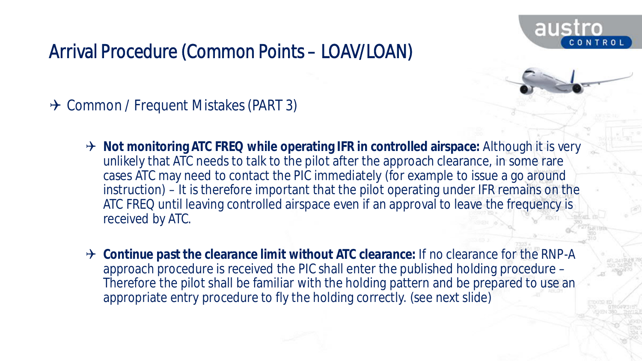

→ Common / Frequent Mistakes (PART 3)

- → Not monitoring ATC FREQ while operating IFR in controlled airspace: Although it is very unlikely that ATC needs to talk to the pilot after the approach clearance, in some rare cases ATC may need to contact the PIC immediately (for example to issue a go around instruction) – It is therefore important that the pilot operating under IFR remains on the ATC FREQ until leaving controlled airspace even if an approval to leave the frequency is received by ATC.
- → Continue past the clearance limit without ATC clearance: If no clearance for the RNP-A approach procedure is received the PIC shall enter the published holding procedure – Therefore the pilot shall be familiar with the holding pattern and be prepared to use an appropriate entry procedure to fly the holding correctly. (see next slide)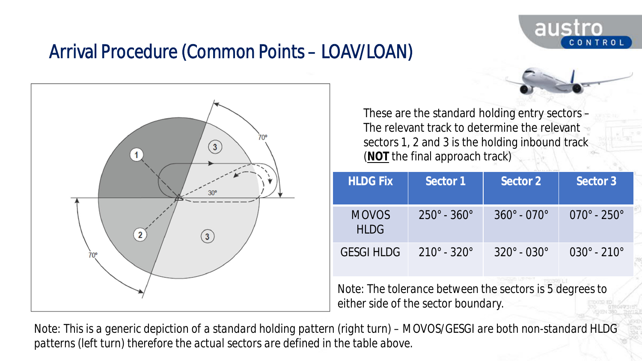



These are the standard holding entry sectors – The relevant track to determine the relevant sectors 1, 2 and 3 is the holding inbound track (**NOT** the final approach track)

| <b>HLDG Fix</b>             | Sector 1                      | Sector 2                      | Sector 3                       |
|-----------------------------|-------------------------------|-------------------------------|--------------------------------|
| <b>MOVOS</b><br><b>HLDG</b> | $250^{\circ}$ - $360^{\circ}$ | $360^{\circ} - 070^{\circ}$   | $070^{\circ}$ - 250 $^{\circ}$ |
| <b>GESGI HLDG</b>           | $210^{\circ} - 320^{\circ}$   | $320^{\circ}$ - $030^{\circ}$ | $030^{\circ}$ - 210 $^{\circ}$ |

*Note: The tolerance between the sectors is 5 degrees to either side of the sector boundary.*

*Note: This is a generic depiction of a standard holding pattern (right turn) – MOVOS/GESGI are both non-standard HLDG patterns (left turn) therefore the actual sectors are defined in the table above.*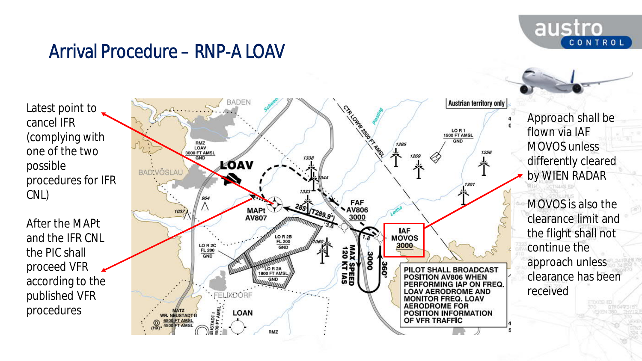

### Arrival Procedure – RNP-A LOAV

Latest point to cancel IFR (complying with one of the two possible procedures for IFR CNL)

After the MAPt and the IFR CNL the PIC shall proceed VFR according to the published VFR procedures



Approach shall be flown via IAF MOVOS unless differently cleared by WIEN RADAR

MOVOS is also the clearance limit and the flight shall not continue the approach unless clearance has been received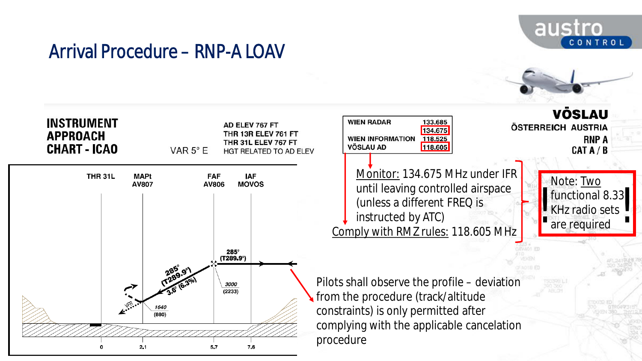

#### Arrival Procedure – RNP-A LOAV

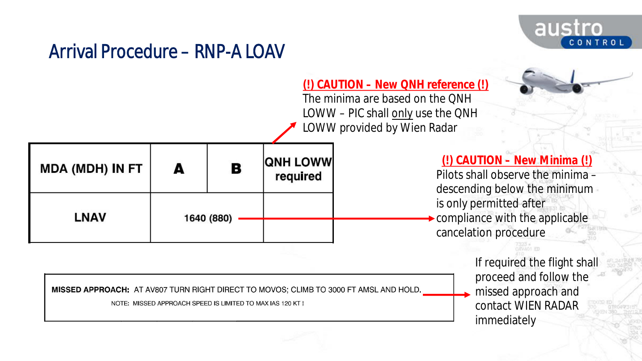

#### Arrival Procedure – RNP-A LOAV

**(!) CAUTION – New QNH reference (!)** The minima are based on the QNH LOWW – PIC shall only use the QNH LOWW provided by Wien Radar

| <b>MDA (MDH) IN FT</b> | A          | В | <b>QNH LOWW</b><br>required | (!) CAUTION - New Minima (!)<br>Pilots shall observe the minima -<br>descending below the minimum |
|------------------------|------------|---|-----------------------------|---------------------------------------------------------------------------------------------------|
| <b>LNAV</b>            | 1640 (880) |   |                             | is only permitted after<br>$\rightarrow$ compliance with the applicable<br>cancelation procedure  |

If required the flight shall proceed and follow the missed approach and contact WIEN RADAR immediately

7323 \*<br>OXVADI FD

MISSED APPROACH: AT AV807 TURN RIGHT DIRECT TO MOVOS; CLIMB TO 3000 FT AMSL AND HOLD.

NOTE: MISSED APPROACH SPEED IS LIMITED TO MAX IAS 120 KT !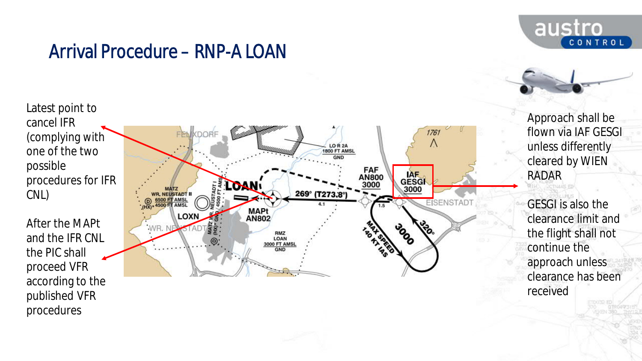

#### Arrival Procedure – RNP-A LOAN

procedures



Approach shall be flown via IAF GESGI unless differently cleared by WIEN RADAR

GESGI is also the clearance limit and the flight shall not continue the approach unless clearance has been received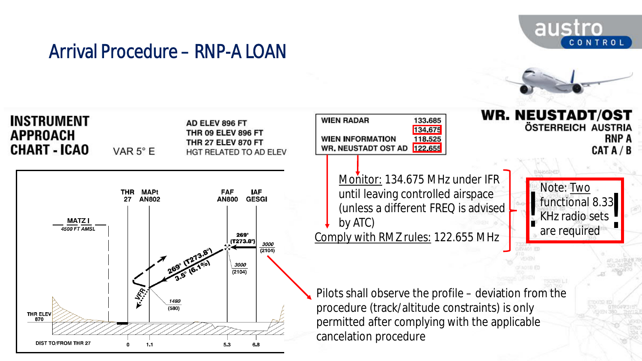

#### Arrival Procedure – RNP-A LOAN

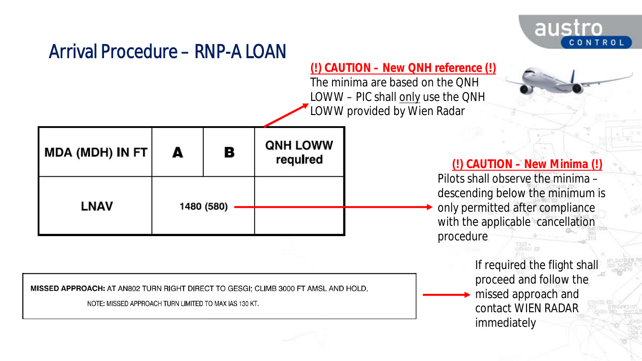

#### Arrival Procedure – RNP-A LOAN

#### **(!) CAUTION – New QNH reference (!)**

The minima are based on the QNH LOWW - PIC shall only use the ONH LOWW provided by Wien Radar

| MDA (MDH) IN FT | A | в          | <b>QNH LOWW</b><br>required |  |
|-----------------|---|------------|-----------------------------|--|
| <b>LNAV</b>     |   |            |                             |  |
|                 |   | 1480 (580) |                             |  |

MISSED APPROACH: AT AN802 TURN RIGHT DIRECT TO GESGI; CLIMB 3000 FT AMSL AND HOLD.

NOTE: MISSED APPROACH TURN LIMITED TO MAX IAS 130 KT.

#### **(!) CAUTION – New Minima (!)**

Pilots shall observe the minima – descending below the minimum is only permitted after compliance with the applicable cancellation procedure

> If required the flight shall proceed and follow the missed approach and contact WIEN RADAR immediately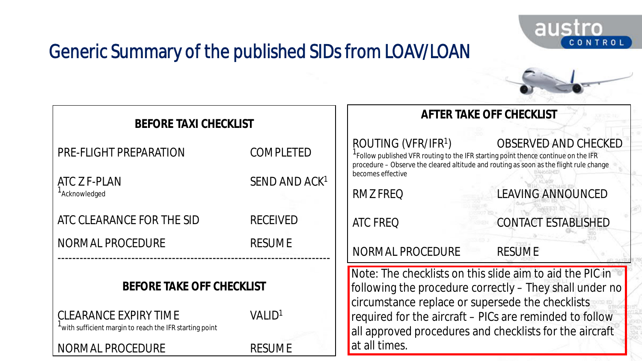

# Generic Summary of the published SIDs from LOAV/LOAN

| <b>BEFORE TAXI CHECKLIST</b>                                                                                                                                                          |                                                                                   | AFTER TAKE OFF CHECKLIST                                                                                                                                                                           |                                                                                                                                                                                                                                           |
|---------------------------------------------------------------------------------------------------------------------------------------------------------------------------------------|-----------------------------------------------------------------------------------|----------------------------------------------------------------------------------------------------------------------------------------------------------------------------------------------------|-------------------------------------------------------------------------------------------------------------------------------------------------------------------------------------------------------------------------------------------|
| PRE-FLIGHT PREPARATION<br>ATC Z F-PLAN<br><sup>1</sup> Acknowledged<br>ATC CLEARANCE FOR THE SID<br>NORMAL PROCEDURE                                                                  | <b>COMPLETED</b><br>SEND AND ACK <sup>1</sup><br><b>RECEIVED</b><br><b>RESUME</b> | ROUTING (VFR/IFR <sup>1</sup> )<br><sup>1</sup> Follow published VFR routing to the IFR starting point thence continue on the IFR<br>becomes effective<br>RMZ FREQ<br>ATC FREQ<br>NORMAL PROCEDURE | OBSERVED AND CHECKED<br>procedure - Observe the cleared altitude and routing as soon as the flight rule change<br><b>LEAVING ANNOUNCED</b><br><b>CONTACT ESTABLISHED</b><br><b>RESUME</b>                                                 |
| BEFORE TAKE OFF CHECKLIST<br><b>CLEARANCE EXPIRY TIME</b><br>VALID <sup>1</sup><br>with sufficient margin to reach the IFR starting point<br><b>NORMAL PROCEDURE</b><br><b>RESUME</b> |                                                                                   | circumstance replace or supersede the checklists<br>at all times.                                                                                                                                  | Note: The checklists on this slide aim to aid the PIC in<br>following the procedure correctly – They shall under no<br>required for the aircraft - PICs are reminded to follow<br>all approved procedures and checklists for the aircraft |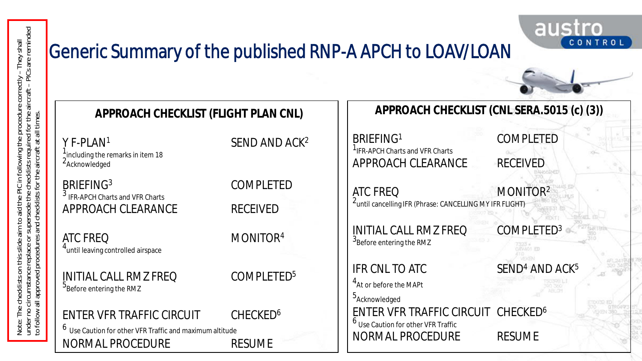# Generic Summary of the published RNP-A APCH to LOAV/LOAN



austro

CONTROL

<sup>3</sup> IFR-APCH Charts and VFR Charts

2 Acknowledged

4<br>until leaving controlled airspace

 $^5$ Before entering the RMZ

 $^6\,$  Use Caution for other VFR Traffic and maximum altitude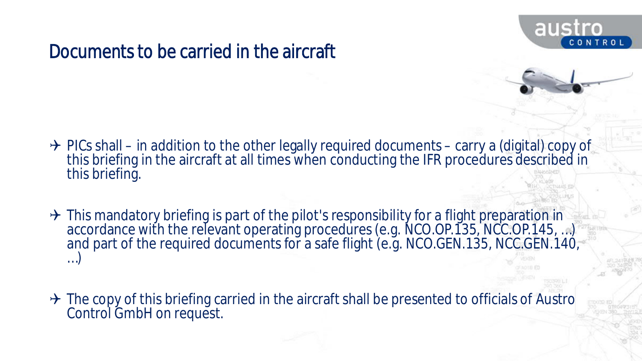

#### Documents to be carried in the aircraft

- $\rightarrow$  PICs shall in addition to the other legally required documents carry a (digital) copy of this briefing in the aircraft at all times when conducting the IFR procedures described in this briefing.
- $\rightarrow$  This mandatory briefing is part of the pilot's responsibility for a flight preparation in accordance with the relevant operating procedures (e.g. NCO.OP.135, NCC.OP.145, …) and part of the required documents for a safe flight (e.g. NCO.GEN.135, NCC.GEN.140, …)
- $\rightarrow$  The copy of this briefing carried in the aircraft shall be presented to officials of Austro Control GmbH on request.